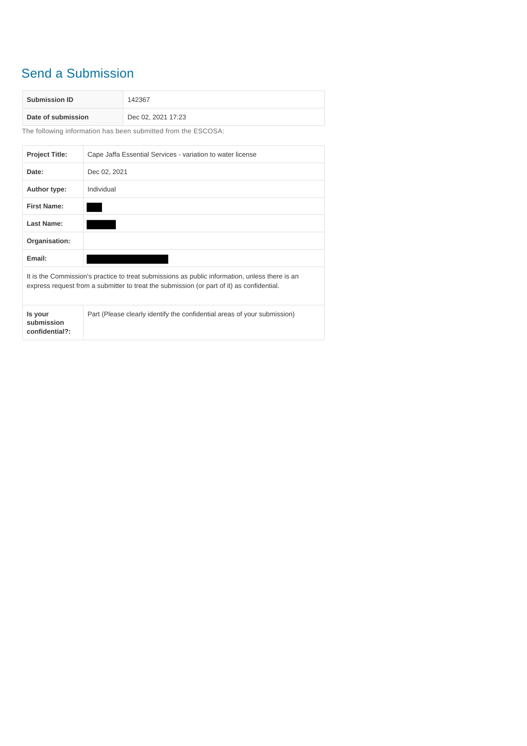## Send a Submission

| <b>Submission ID</b> | 142367             |
|----------------------|--------------------|
| Date of submission   | Dec 02, 2021 17:23 |

The following information has been submitted from the ESCOSA:

| <b>Project Title:</b>                                                                                                                                                                       | Cape Jaffa Essential Services - variation to water license               |
|---------------------------------------------------------------------------------------------------------------------------------------------------------------------------------------------|--------------------------------------------------------------------------|
| Date:                                                                                                                                                                                       | Dec 02, 2021                                                             |
| Author type:                                                                                                                                                                                | Individual                                                               |
| <b>First Name:</b>                                                                                                                                                                          |                                                                          |
| Last Name:                                                                                                                                                                                  |                                                                          |
| Organisation:                                                                                                                                                                               |                                                                          |
| Email:                                                                                                                                                                                      |                                                                          |
| It is the Commission's practice to treat submissions as public information, unless there is an<br>express request from a submitter to treat the submission (or part of it) as confidential. |                                                                          |
| Is your<br>submission<br>confidential?:                                                                                                                                                     | Part (Please clearly identify the confidential areas of your submission) |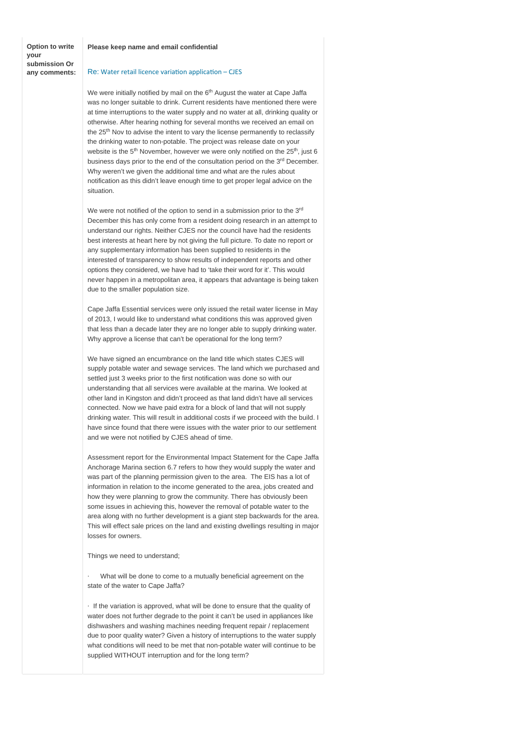**Option to write your submission Or any comments:**

## **Please keep name and email confidential**

## Re: Water retail licence variation application – CJES

We were initially notified by mail on the 6<sup>th</sup> August the water at Cape Jaffa was no longer suitable to drink. Current residents have mentioned there were at time interruptions to the water supply and no water at all, drinking quality or otherwise. After hearing nothing for several months we received an email on the 25<sup>th</sup> Nov to advise the intent to vary the license permanently to reclassify the drinking water to non-potable. The project was release date on your website is the  $5<sup>th</sup>$  November, however we were only notified on the  $25<sup>th</sup>$ , just 6 business days prior to the end of the consultation period on the 3<sup>rd</sup> December. Why weren't we given the additional time and what are the rules about notification as this didn't leave enough time to get proper legal advice on the situation.

We were not notified of the option to send in a submission prior to the 3<sup>rd</sup> December this has only come from a resident doing research in an attempt to understand our rights. Neither CJES nor the council have had the residents best interests at heart here by not giving the full picture. To date no report or any supplementary information has been supplied to residents in the interested of transparency to show results of independent reports and other options they considered, we have had to 'take their word for it'. This would never happen in a metropolitan area, it appears that advantage is being taken due to the smaller population size.

Cape Jaffa Essential services were only issued the retail water license in May of 2013, I would like to understand what conditions this was approved given that less than a decade later they are no longer able to supply drinking water. Why approve a license that can't be operational for the long term?

We have signed an encumbrance on the land title which states CJES will supply potable water and sewage services. The land which we purchased and settled just 3 weeks prior to the first notification was done so with our understanding that all services were available at the marina. We looked at other land in Kingston and didn't proceed as that land didn't have all services connected. Now we have paid extra for a block of land that will not supply drinking water. This will result in additional costs if we proceed with the build. I have since found that there were issues with the water prior to our settlement and we were not notified by CJES ahead of time.

Assessment report for the Environmental Impact Statement for the Cape Jaffa Anchorage Marina section 6.7 refers to how they would supply the water and was part of the planning permission given to the area. The EIS has a lot of information in relation to the income generated to the area, jobs created and how they were planning to grow the community. There has obviously been some issues in achieving this, however the removal of potable water to the area along with no further development is a giant step backwards for the area. This will effect sale prices on the land and existing dwellings resulting in major losses for owners.

Things we need to understand;

What will be done to come to a mutually beneficial agreement on the state of the water to Cape Jaffa?

· If the variation is approved, what will be done to ensure that the quality of water does not further degrade to the point it can't be used in appliances like dishwashers and washing machines needing frequent repair / replacement due to poor quality water? Given a history of interruptions to the water supply what conditions will need to be met that non-potable water will continue to be supplied WITHOUT interruption and for the long term?